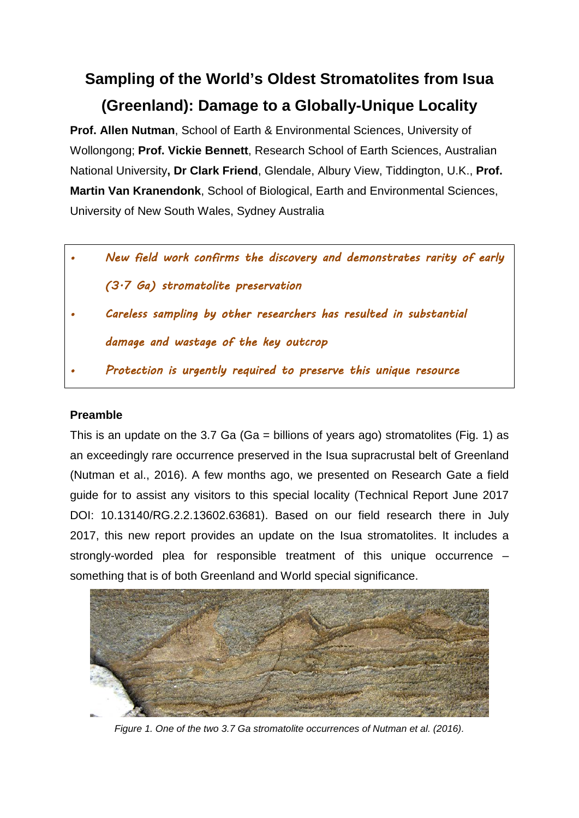# **Sampling of the World's Oldest Stromatolites from Isua (Greenland): Damage to a Globally-Unique Locality**

**Prof. Allen Nutman**, School of Earth & Environmental Sciences, University of Wollongong; **Prof. Vickie Bennett**, Research School of Earth Sciences, Australian National University**, Dr Clark Friend**, Glendale, Albury View, Tiddington, U.K., **Prof. Martin Van Kranendonk**, School of Biological, Earth and Environmental Sciences, University of New South Wales, Sydney Australia

- *New field work confirms the discovery and demonstrates rarity of early (3.7 Ga) stromatolite preservation*
- *Careless sampling by other researchers has resulted in substantial damage and wastage of the key outcrop*
- *Protection is urgently required to preserve this unique resource*

## **Preamble**

This is an update on the 3.7 Ga (Ga = billions of years ago) stromatolites (Fig. 1) as an exceedingly rare occurrence preserved in the Isua supracrustal belt of Greenland (Nutman et al., 2016). A few months ago, we presented on Research Gate a field guide for to assist any visitors to this special locality (Technical Report June 2017 DOI: 10.13140/RG.2.2.13602.63681). Based on our field research there in July 2017, this new report provides an update on the Isua stromatolites. It includes a strongly-worded plea for responsible treatment of this unique occurrence – something that is of both Greenland and World special significance.



*Figure 1. One of the two 3.7 Ga stromatolite occurrences of Nutman et al. (2016).*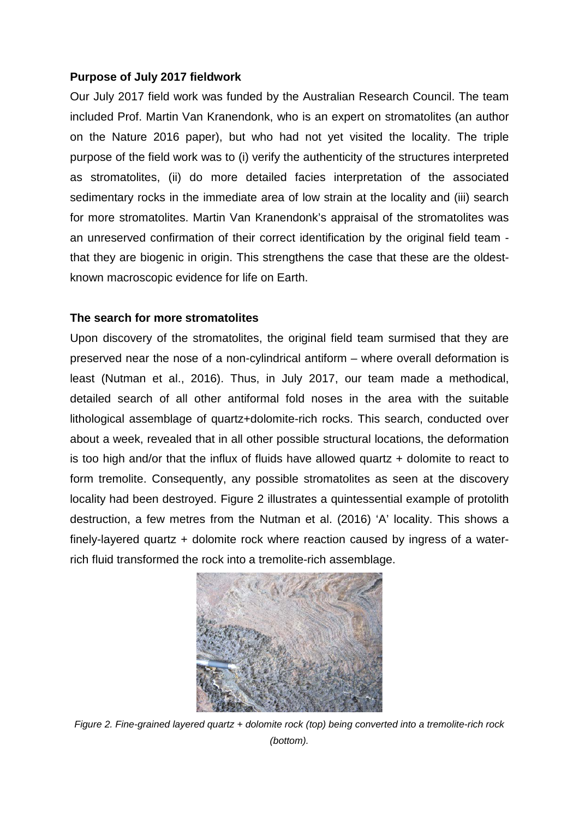## **Purpose of July 2017 fieldwork**

Our July 2017 field work was funded by the Australian Research Council. The team included Prof. Martin Van Kranendonk, who is an expert on stromatolites (an author on the Nature 2016 paper), but who had not yet visited the locality. The triple purpose of the field work was to (i) verify the authenticity of the structures interpreted as stromatolites, (ii) do more detailed facies interpretation of the associated sedimentary rocks in the immediate area of low strain at the locality and (iii) search for more stromatolites. Martin Van Kranendonk's appraisal of the stromatolites was an unreserved confirmation of their correct identification by the original field team that they are biogenic in origin. This strengthens the case that these are the oldestknown macroscopic evidence for life on Earth.

# **The search for more stromatolites**

Upon discovery of the stromatolites, the original field team surmised that they are preserved near the nose of a non-cylindrical antiform – where overall deformation is least (Nutman et al., 2016). Thus, in July 2017, our team made a methodical, detailed search of all other antiformal fold noses in the area with the suitable lithological assemblage of quartz+dolomite-rich rocks. This search, conducted over about a week, revealed that in all other possible structural locations, the deformation is too high and/or that the influx of fluids have allowed quartz + dolomite to react to form tremolite. Consequently, any possible stromatolites as seen at the discovery locality had been destroyed. Figure 2 illustrates a quintessential example of protolith destruction, a few metres from the Nutman et al. (2016) 'A' locality. This shows a finely-layered quartz + dolomite rock where reaction caused by ingress of a waterrich fluid transformed the rock into a tremolite-rich assemblage.



*Figure 2. Fine-grained layered quartz + dolomite rock (top) being converted into a tremolite-rich rock (bottom).*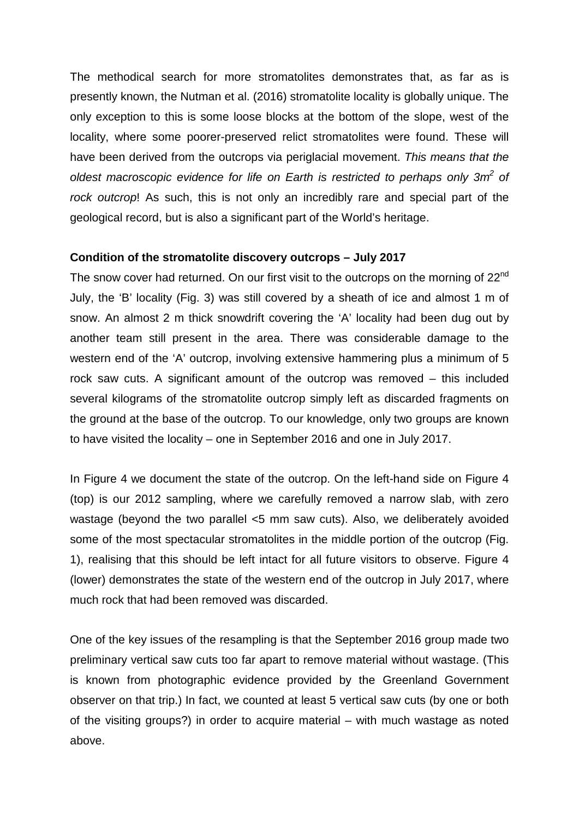The methodical search for more stromatolites demonstrates that, as far as is presently known, the Nutman et al. (2016) stromatolite locality is globally unique. The only exception to this is some loose blocks at the bottom of the slope, west of the locality, where some poorer-preserved relict stromatolites were found. These will have been derived from the outcrops via periglacial movement. *This means that the oldest macroscopic evidence for life on Earth is restricted to perhaps only 3m2 of rock outcrop*! As such, this is not only an incredibly rare and special part of the geological record, but is also a significant part of the World's heritage.

#### **Condition of the stromatolite discovery outcrops – July 2017**

The snow cover had returned. On our first visit to the outcrops on the morning of  $22^{nd}$ July, the 'B' locality (Fig. 3) was still covered by a sheath of ice and almost 1 m of snow. An almost 2 m thick snowdrift covering the 'A' locality had been dug out by another team still present in the area. There was considerable damage to the western end of the 'A' outcrop, involving extensive hammering plus a minimum of 5 rock saw cuts. A significant amount of the outcrop was removed – this included several kilograms of the stromatolite outcrop simply left as discarded fragments on the ground at the base of the outcrop. To our knowledge, only two groups are known to have visited the locality – one in September 2016 and one in July 2017.

In Figure 4 we document the state of the outcrop. On the left-hand side on Figure 4 (top) is our 2012 sampling, where we carefully removed a narrow slab, with zero wastage (beyond the two parallel <5 mm saw cuts). Also, we deliberately avoided some of the most spectacular stromatolites in the middle portion of the outcrop (Fig. 1), realising that this should be left intact for all future visitors to observe. Figure 4 (lower) demonstrates the state of the western end of the outcrop in July 2017, where much rock that had been removed was discarded.

One of the key issues of the resampling is that the September 2016 group made two preliminary vertical saw cuts too far apart to remove material without wastage. (This is known from photographic evidence provided by the Greenland Government observer on that trip.) In fact, we counted at least 5 vertical saw cuts (by one or both of the visiting groups?) in order to acquire material – with much wastage as noted above.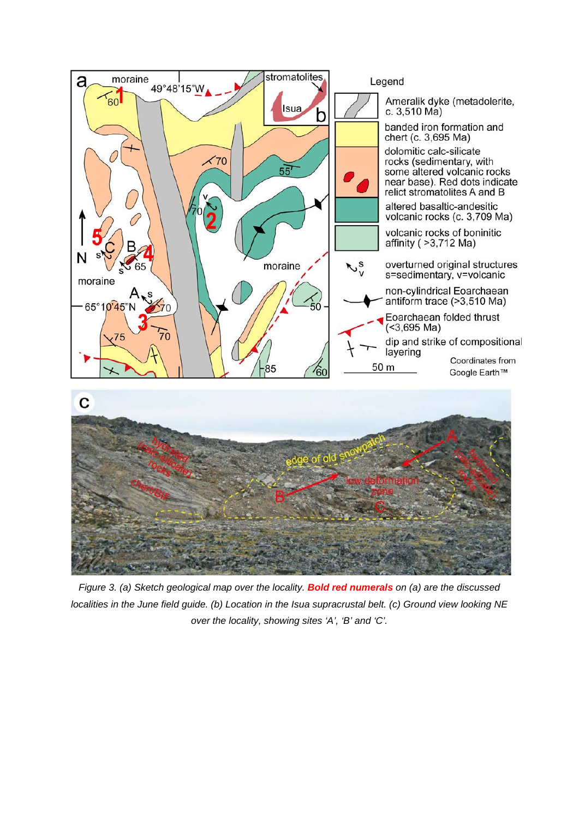

*Figure 3. (a) Sketch geological map over the locality. Bold red numerals on (a) are the discussed localities in the June field guide. (b) Location in the Isua supracrustal belt. (c) Ground view looking NE over the locality, showing sites 'A', 'B' and 'C'.*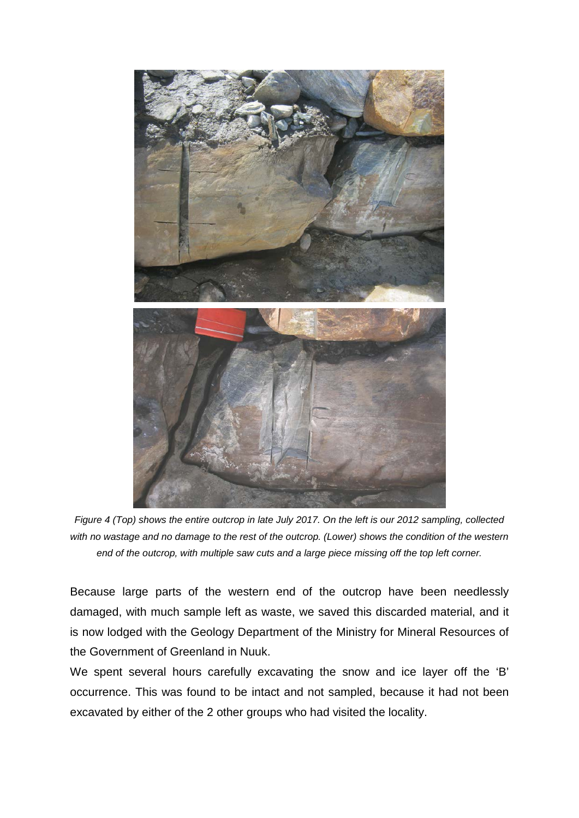

*Figure 4 (Top) shows the entire outcrop in late July 2017. On the left is our 2012 sampling, collected with no wastage and no damage to the rest of the outcrop. (Lower) shows the condition of the western end of the outcrop, with multiple saw cuts and a large piece missing off the top left corner.*

Because large parts of the western end of the outcrop have been needlessly damaged, with much sample left as waste, we saved this discarded material, and it is now lodged with the Geology Department of the Ministry for Mineral Resources of the Government of Greenland in Nuuk.

We spent several hours carefully excavating the snow and ice layer off the 'B' occurrence. This was found to be intact and not sampled, because it had not been excavated by either of the 2 other groups who had visited the locality.